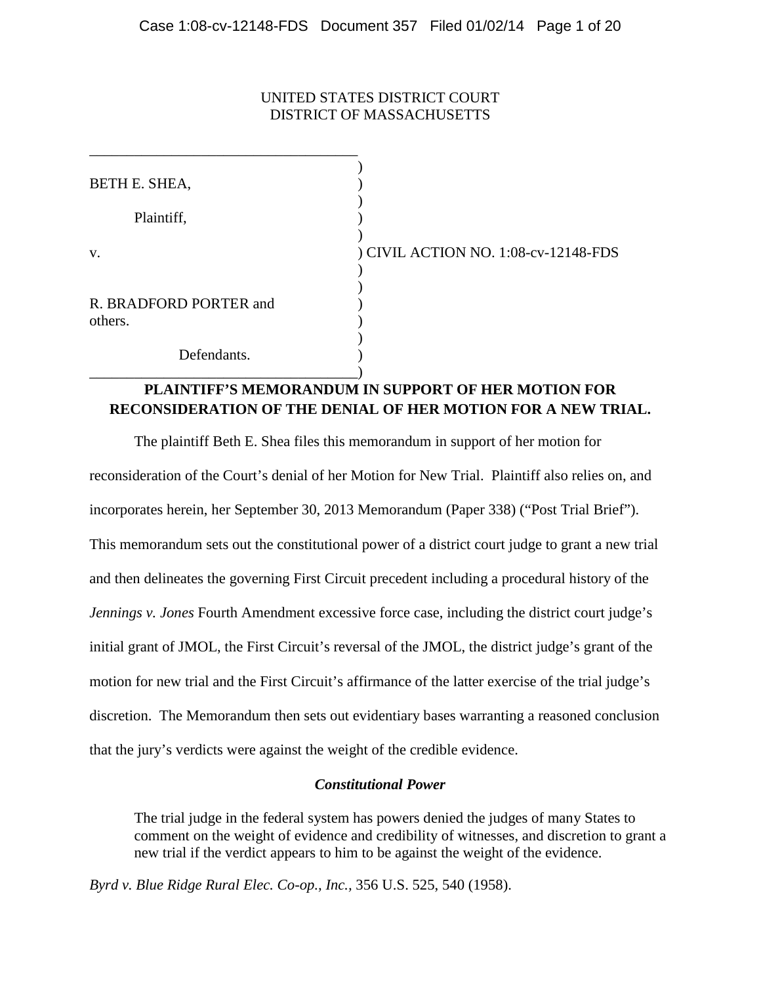# UNITED STATES DISTRICT COURT DISTRICT OF MASSACHUSETTS

| BETH E. SHEA,                     |                                      |
|-----------------------------------|--------------------------------------|
| Plaintiff,                        |                                      |
| V.                                | ) CIVIL ACTION NO. 1:08-cv-12148-FDS |
| R. BRADFORD PORTER and<br>others. |                                      |
| Defendants.                       |                                      |

# **PLAINTIFF'S MEMORANDUM IN SUPPORT OF HER MOTION FOR RECONSIDERATION OF THE DENIAL OF HER MOTION FOR A NEW TRIAL.**

The plaintiff Beth E. Shea files this memorandum in support of her motion for reconsideration of the Court's denial of her Motion for New Trial. Plaintiff also relies on, and incorporates herein, her September 30, 2013 Memorandum (Paper 338) ("Post Trial Brief"). This memorandum sets out the constitutional power of a district court judge to grant a new trial and then delineates the governing First Circuit precedent including a procedural history of the *Jennings v. Jones* Fourth Amendment excessive force case, including the district court judge's initial grant of JMOL, the First Circuit's reversal of the JMOL, the district judge's grant of the motion for new trial and the First Circuit's affirmance of the latter exercise of the trial judge's discretion. The Memorandum then sets out evidentiary bases warranting a reasoned conclusion that the jury's verdicts were against the weight of the credible evidence.

## *Constitutional Power*

The trial judge in the federal system has powers denied the judges of many States to comment on the weight of evidence and credibility of witnesses, and discretion to grant a new trial if the verdict appears to him to be against the weight of the evidence.

*Byrd v. Blue Ridge Rural Elec. Co-op., Inc.,* 356 U.S. 525, 540 (1958).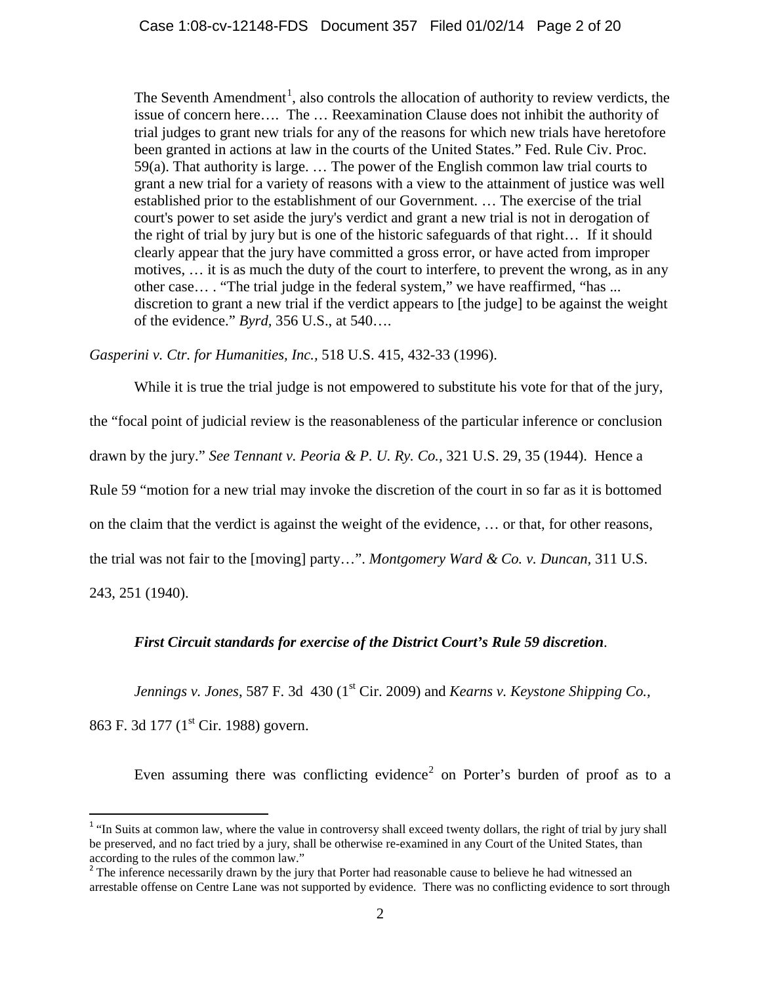The Seventh Amendment<sup>[1](#page-1-0)</sup>, also controls the allocation of authority to review verdicts, the issue of concern here…. The … Reexamination Clause does not inhibit the authority of trial judges to grant new trials for any of the reasons for which new trials have heretofore been granted in actions at law in the courts of the United States." Fed. Rule Civ. Proc. 59(a). That authority is large. … The power of the English common law trial courts to grant a new trial for a variety of reasons with a view to the attainment of justice was well established prior to the establishment of our Government. … The exercise of the trial court's power to set aside the jury's verdict and grant a new trial is not in derogation of the right of trial by jury but is one of the historic safeguards of that right… If it should clearly appear that the jury have committed a gross error, or have acted from improper motives, … it is as much the duty of the court to interfere, to prevent the wrong, as in any other case… . "The trial judge in the federal system," we have reaffirmed, "has ... discretion to grant a new trial if the verdict appears to [the judge] to be against the weight of the evidence." *Byrd,* 356 U.S., at 540….

*Gasperini v. Ctr. for Humanities, Inc.,* 518 U.S. 415, 432-33 (1996).

While it is true the trial judge is not empowered to substitute his vote for that of the jury, the "focal point of judicial review is the reasonableness of the particular inference or conclusion drawn by the jury." *See Tennant v. Peoria & P. U. Ry. Co.,* 321 U.S. 29, 35 (1944). Hence a Rule 59 "motion for a new trial may invoke the discretion of the court in so far as it is bottomed on the claim that the verdict is against the weight of the evidence, … or that, for other reasons, the trial was not fair to the [moving] party…". *Montgomery Ward & Co. v. Duncan,* 311 U.S. 243, 251 (1940).

# *First Circuit standards for exercise of the District Court's Rule 59 discretion*.

*Jennings v. Jones*, 587 F. 3d 430 (1<sup>st</sup> Cir. 2009) and *Kearns v. Keystone Shipping Co.*,

863 F. 3d 177 (1<sup>st</sup> Cir. 1988) govern.

Even assuming there was conflicting evidence<sup>[2](#page-1-1)</sup> on Porter's burden of proof as to a

<span id="page-1-0"></span><sup>&</sup>lt;sup>1</sup> "In Suits at common law, where the value in controversy shall exceed twenty dollars, the right of trial by jury shall be preserved, and no fact tried by a jury, shall be otherwise re-examined in any Court of the United States, than according to the rules of the common law."<br><sup>2</sup> The inference necessarily drawn by the jury that Porter had reasonable cause to believe he had witnessed an

<span id="page-1-1"></span>arrestable offense on Centre Lane was not supported by evidence. There was no conflicting evidence to sort through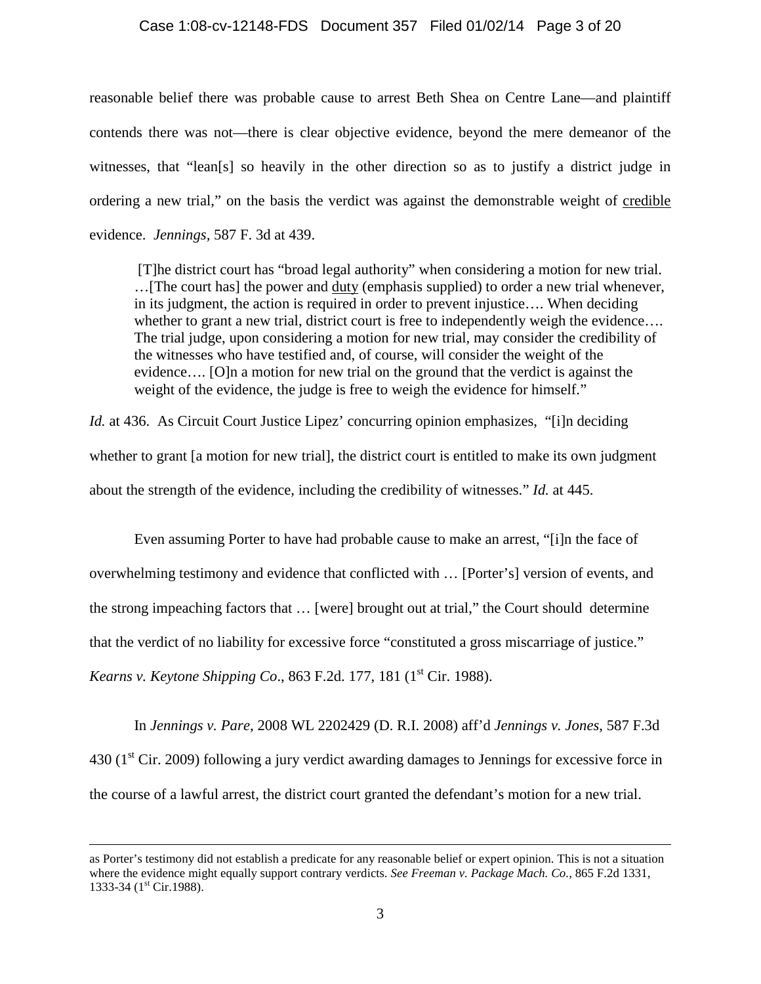### Case 1:08-cv-12148-FDS Document 357 Filed 01/02/14 Page 3 of 20

reasonable belief there was probable cause to arrest Beth Shea on Centre Lane—and plaintiff contends there was not—there is clear objective evidence, beyond the mere demeanor of the witnesses, that "lean[s] so heavily in the other direction so as to justify a district judge in ordering a new trial," on the basis the verdict was against the demonstrable weight of credible evidence. *Jennings,* 587 F. 3d at 439.

[T]he district court has "broad legal authority" when considering a motion for new trial. ... [The court has] the power and <u>duty</u> (emphasis supplied) to order a new trial whenever, in its judgment, the action is required in order to prevent injustice…. When deciding whether to grant a new trial, district court is free to independently weigh the evidence.... The trial judge, upon considering a motion for new trial, may consider the credibility of the witnesses who have testified and, of course, will consider the weight of the evidence…. [O]n a motion for new trial on the ground that the verdict is against the weight of the evidence, the judge is free to weigh the evidence for himself."

*Id.* at 436. As Circuit Court Justice Lipez' concurring opinion emphasizes, "[i]n deciding whether to grant [a motion for new trial], the district court is entitled to make its own judgment about the strength of the evidence, including the credibility of witnesses." *Id.* at 445.

Even assuming Porter to have had probable cause to make an arrest, "[i]n the face of overwhelming testimony and evidence that conflicted with … [Porter's] version of events, and the strong impeaching factors that … [were] brought out at trial," the Court should determine that the verdict of no liability for excessive force "constituted a gross miscarriage of justice." *Kearns v. Keytone Shipping Co.*, 863 F.2d. 177, 181 (1<sup>st</sup> Cir. 1988).

In *Jennings v. Pare*, 2008 WL 2202429 (D. R.I. 2008) aff'd *Jennings v. Jones*, 587 F.3d  $430$  (1<sup>st</sup> Cir. 2009) following a jury verdict awarding damages to Jennings for excessive force in the course of a lawful arrest, the district court granted the defendant's motion for a new trial.

as Porter's testimony did not establish a predicate for any reasonable belief or expert opinion. This is not a situation where the evidence might equally support contrary verdicts. *See Freeman v. Package Mach. Co.,* 865 F.2d 1331, 1333-34 (1<sup>st</sup> Cir.1988).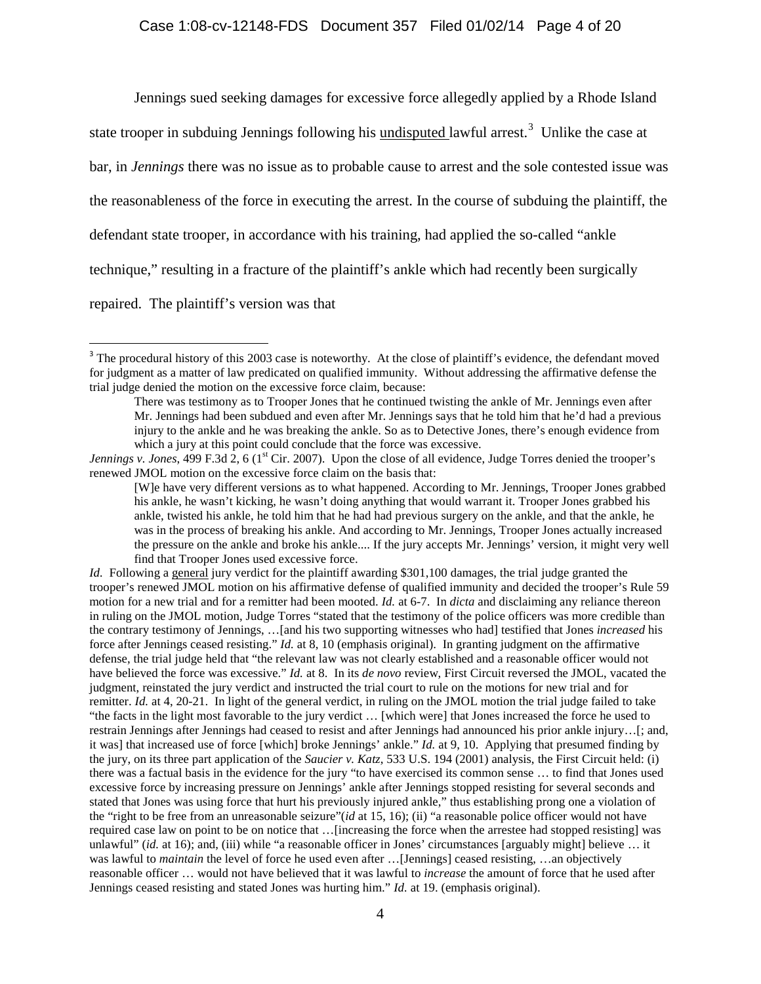Jennings sued seeking damages for excessive force allegedly applied by a Rhode Island

state trooper in subduing Jennings following his **undisputed** lawful arrest.<sup>[3](#page-3-0)</sup> Unlike the case at

bar, in *Jennings* there was no issue as to probable cause to arrest and the sole contested issue was

the reasonableness of the force in executing the arrest. In the course of subduing the plaintiff, the

defendant state trooper, in accordance with his training, had applied the so-called "ankle

technique," resulting in a fracture of the plaintiff's ankle which had recently been surgically

repaired. The plaintiff's version was that

<span id="page-3-0"></span><sup>&</sup>lt;sup>3</sup> The procedural history of this 2003 case is noteworthy. At the close of plaintiff's evidence, the defendant moved for judgment as a matter of law predicated on qualified immunity. Without addressing the affirmative defense the trial judge denied the motion on the excessive force claim, because:

There was testimony as to Trooper Jones that he continued twisting the ankle of Mr. Jennings even after Mr. Jennings had been subdued and even after Mr. Jennings says that he told him that he'd had a previous injury to the ankle and he was breaking the ankle. So as to Detective Jones, there's enough evidence from which a jury at this point could conclude that the force was excessive.

*Jennings v. Jones*, 499 F.3d 2, 6 (1<sup>st</sup> Cir. 2007). Upon the close of all evidence, Judge Torres denied the trooper's renewed JMOL motion on the excessive force claim on the basis that:

<sup>[</sup>W]e have very different versions as to what happened. According to Mr. Jennings, Trooper Jones grabbed his ankle, he wasn't kicking, he wasn't doing anything that would warrant it. Trooper Jones grabbed his ankle, twisted his ankle, he told him that he had had previous surgery on the ankle, and that the ankle, he was in the process of breaking his ankle. And according to Mr. Jennings, Trooper Jones actually increased the pressure on the ankle and broke his ankle.... If the jury accepts Mr. Jennings' version, it might very well find that Trooper Jones used excessive force.

*Id.* Following a general jury verdict for the plaintiff awarding \$301,100 damages, the trial judge granted the trooper's renewed JMOL motion on his affirmative defense of qualified immunity and decided the trooper's Rule 59 motion for a new trial and for a remitter had been mooted. *Id.* at 6-7. In *dicta* and disclaiming any reliance thereon in ruling on the JMOL motion, Judge Torres "stated that the testimony of the police officers was more credible than the contrary testimony of Jennings, …[and his two supporting witnesses who had] testified that Jones *increased* his force after Jennings ceased resisting." *Id.* at 8, 10 (emphasis original). In granting judgment on the affirmative defense, the trial judge held that "the relevant law was not clearly established and a reasonable officer would not have believed the force was excessive." *Id.* at 8. In its *de novo* review, First Circuit reversed the JMOL, vacated the judgment, reinstated the jury verdict and instructed the trial court to rule on the motions for new trial and for remitter. *Id.* at 4, 20-21. In light of the general verdict, in ruling on the JMOL motion the trial judge failed to take "the facts in the light most favorable to the jury verdict … [which were] that Jones increased the force he used to restrain Jennings after Jennings had ceased to resist and after Jennings had announced his prior ankle injury…[; and, it was] that increased use of force [which] broke Jennings' ankle." *Id.* at 9, 10. Applying that presumed finding by the jury, on its three part application of the *Saucier v. Katz*, 533 U.S. 194 (2001) analysis, the First Circuit held: (i) there was a factual basis in the evidence for the jury "to have exercised its common sense … to find that Jones used excessive force by increasing pressure on Jennings' ankle after Jennings stopped resisting for several seconds and stated that Jones was using force that hurt his previously injured ankle," thus establishing prong one a violation of the "right to be free from an unreasonable seizure"(*id* at 15, 16); (ii) "a reasonable police officer would not have required case law on point to be on notice that …[increasing the force when the arrestee had stopped resisting] was unlawful" (*id.* at 16); and, (iii) while "a reasonable officer in Jones' circumstances [arguably might] believe ... it was lawful to *maintain* the level of force he used even after ... [Jennings] ceased resisting, ...an objectively reasonable officer … would not have believed that it was lawful to *increase* the amount of force that he used after Jennings ceased resisting and stated Jones was hurting him." *Id.* at 19. (emphasis original).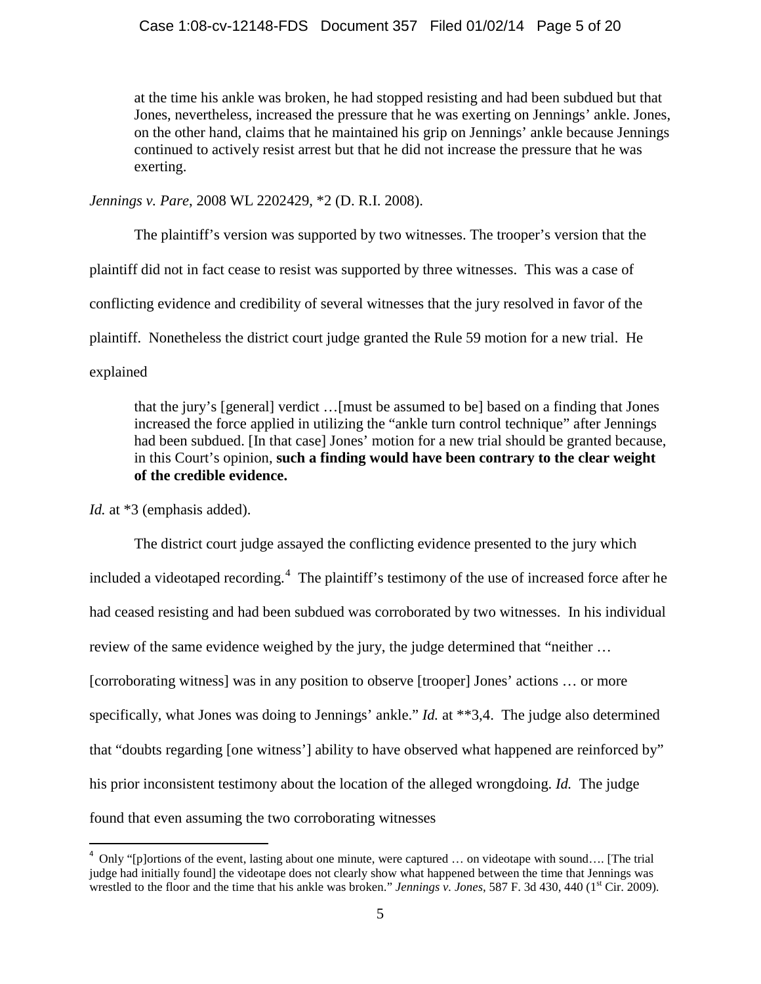at the time his ankle was broken, he had stopped resisting and had been subdued but that Jones, nevertheless, increased the pressure that he was exerting on Jennings' ankle. Jones, on the other hand, claims that he maintained his grip on Jennings' ankle because Jennings continued to actively resist arrest but that he did not increase the pressure that he was exerting.

*Jennings v. Pare*, 2008 WL 2202429, \*2 (D. R.I. 2008).

The plaintiff's version was supported by two witnesses. The trooper's version that the plaintiff did not in fact cease to resist was supported by three witnesses. This was a case of conflicting evidence and credibility of several witnesses that the jury resolved in favor of the plaintiff. Nonetheless the district court judge granted the Rule 59 motion for a new trial. He explained

that the jury's [general] verdict …[must be assumed to be] based on a finding that Jones increased the force applied in utilizing the "ankle turn control technique" after Jennings had been subdued. [In that case] Jones' motion for a new trial should be granted because, in this Court's opinion, **such a finding would have been contrary to the clear weight of the credible evidence.**

*Id.* at \*3 (emphasis added).

The district court judge assayed the conflicting evidence presented to the jury which included a videotaped recording.<sup>[4](#page-4-0)</sup> The plaintiff's testimony of the use of increased force after he had ceased resisting and had been subdued was corroborated by two witnesses. In his individual review of the same evidence weighed by the jury, the judge determined that "neither … [corroborating witness] was in any position to observe [trooper] Jones' actions … or more specifically, what Jones was doing to Jennings' ankle." *Id.* at \*\*3,4. The judge also determined that "doubts regarding [one witness'] ability to have observed what happened are reinforced by" his prior inconsistent testimony about the location of the alleged wrongdoing. *Id.* The judge found that even assuming the two corroborating witnesses

<span id="page-4-0"></span> $\frac{1}{4}$ <sup>4</sup> Only "[p]ortions of the event, lasting about one minute, were captured ... on videotape with sound.... [The trial judge had initially found] the videotape does not clearly show what happened between the time that Jennings was wrestled to the floor and the time that his ankle was broken." *Jennings v. Jones*, 587 F. 3d 430, 440 (1<sup>st</sup> Cir. 2009).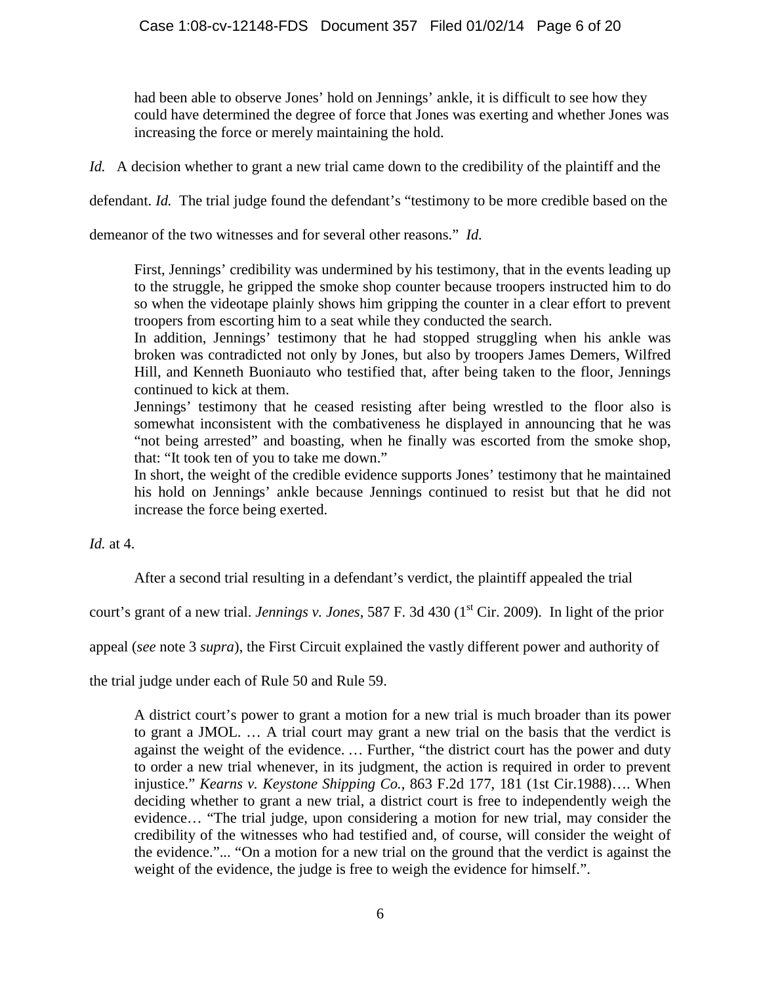had been able to observe Jones' hold on Jennings' ankle, it is difficult to see how they could have determined the degree of force that Jones was exerting and whether Jones was increasing the force or merely maintaining the hold.

*Id.* A decision whether to grant a new trial came down to the credibility of the plaintiff and the

defendant. *Id.* The trial judge found the defendant's "testimony to be more credible based on the

demeanor of the two witnesses and for several other reasons." *Id.*

First, Jennings' credibility was undermined by his testimony, that in the events leading up to the struggle, he gripped the smoke shop counter because troopers instructed him to do so when the videotape plainly shows him gripping the counter in a clear effort to prevent troopers from escorting him to a seat while they conducted the search.

In addition, Jennings' testimony that he had stopped struggling when his ankle was broken was contradicted not only by Jones, but also by troopers James Demers, Wilfred Hill, and Kenneth Buoniauto who testified that, after being taken to the floor, Jennings continued to kick at them.

Jennings' testimony that he ceased resisting after being wrestled to the floor also is somewhat inconsistent with the combativeness he displayed in announcing that he was "not being arrested" and boasting, when he finally was escorted from the smoke shop, that: "It took ten of you to take me down."

In short, the weight of the credible evidence supports Jones' testimony that he maintained his hold on Jennings' ankle because Jennings continued to resist but that he did not increase the force being exerted.

*Id.* at 4.

After a second trial resulting in a defendant's verdict, the plaintiff appealed the trial

court's grant of a new trial. *Jennings v. Jones*, 587 F. 3d 430 (1<sup>st</sup> Cir. 2009). In light of the prior

appeal (*see* note 3 *supra*), the First Circuit explained the vastly different power and authority of

the trial judge under each of Rule 50 and Rule 59.

A district court's power to grant a motion for a new trial is much broader than its power to grant a JMOL. … A trial court may grant a new trial on the basis that the verdict is against the weight of the evidence. *…* Further, "the district court has the power and duty to order a new trial whenever, in its judgment, the action is required in order to prevent injustice." *Kearns v. Keystone Shipping Co.*[, 863 F.2d 177, 181 \(1st Cir.1988\)…](http://www.westlaw.com/Link/Document/FullText?findType=Y&serNum=1988164392&pubNum=350&originationContext=document&vr=3.0&rs=cblt1.0&transitionType=DocumentItem&contextData=(sc.Search)#co_pp_sp_350_181). When deciding whether to grant a new trial, a district court is free to independently weigh the evidence… "The trial judge, upon considering a motion for new trial, may consider the credibility of the witnesses who had testified and, of course, will consider the weight of the evidence."... "On a motion for a new trial on the ground that the verdict is against the weight of the evidence, the judge is free to weigh the evidence for himself.".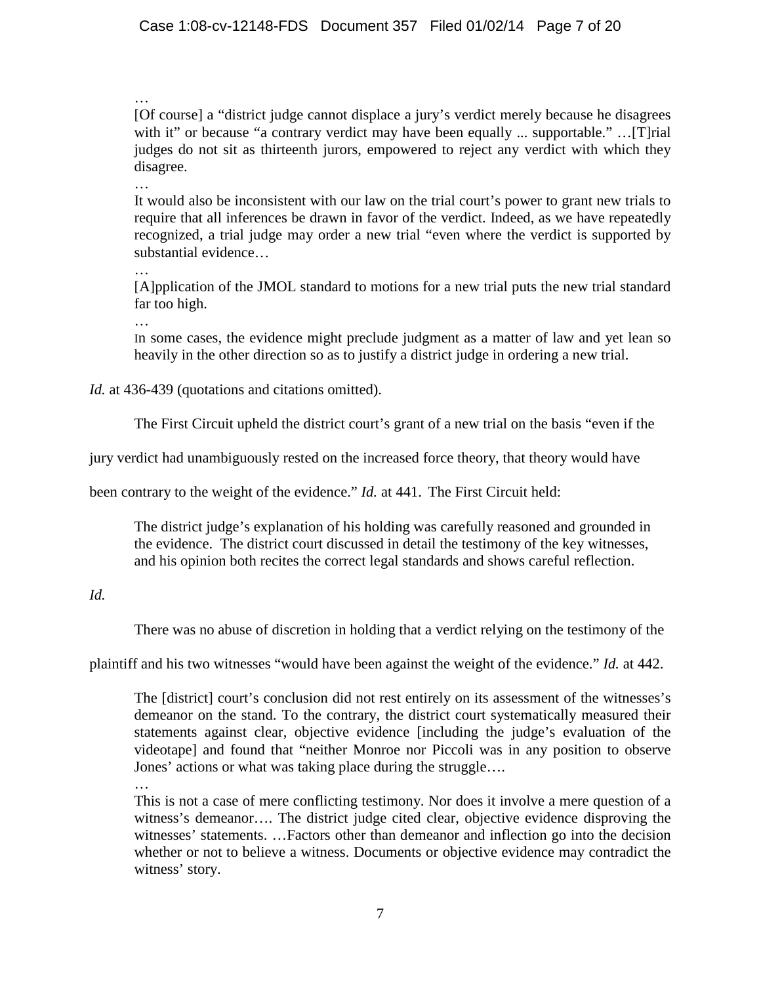…

[Of course] a "district judge cannot displace a jury's verdict merely because he disagrees with it" or because "a contrary verdict may have been equally ... supportable." ... [T]rial judges do not sit as thirteenth jurors, empowered to reject any verdict with which they disagree.

…

It would also be inconsistent with our law on the trial court's power to grant new trials to require that all inferences be drawn in favor of the verdict. Indeed, as we have repeatedly recognized, a trial judge may order a new trial "even where the verdict is supported by substantial evidence…

…

[A]pplication of the JMOL standard to motions for a new trial puts the new trial standard far too high.

…

In some cases, the evidence might preclude judgment as a matter of law and yet lean so heavily in the other direction so as to justify a district judge in ordering a new trial.

*Id.* at 436-439 (quotations and citations omitted).

The First Circuit upheld the district court's grant of a new trial on the basis "even if the

jury verdict had unambiguously rested on the increased force theory, that theory would have

been contrary to the weight of the evidence." *Id.* at 441. The First Circuit held:

The district judge's explanation of his holding was carefully reasoned and grounded in the evidence. The district court discussed in detail the testimony of the key witnesses, and his opinion both recites the correct legal standards and shows careful reflection.

# *Id.*

There was no abuse of discretion in holding that a verdict relying on the testimony of the

plaintiff and his two witnesses "would have been against the weight of the evidence." *Id.* at 442.

The [district] court's conclusion did not rest entirely on its assessment of the witnesses's demeanor on the stand. To the contrary, the district court systematically measured their statements against clear, objective evidence [including the judge's evaluation of the videotape] and found that "neither Monroe nor Piccoli was in any position to observe Jones' actions or what was taking place during the struggle….

…

This is not a case of mere conflicting testimony. Nor does it involve a mere question of a witness's demeanor…. The district judge cited clear, objective evidence disproving the witnesses' statements. …Factors other than demeanor and inflection go into the decision whether or not to believe a witness. Documents or objective evidence may contradict the witness' story.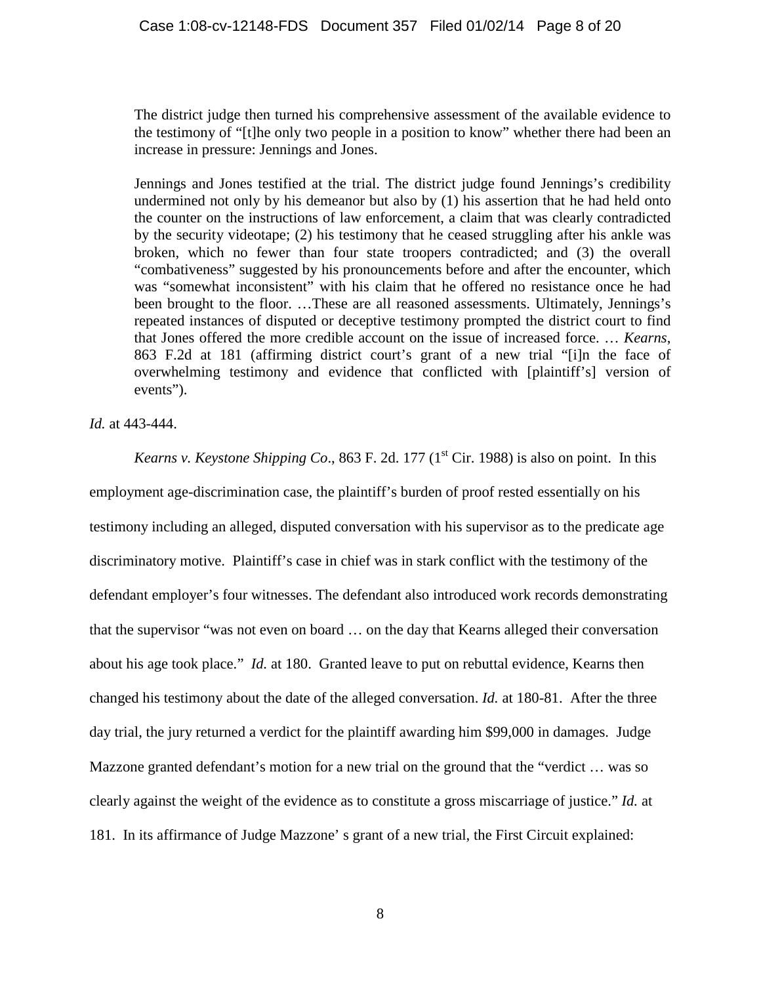The district judge then turned his comprehensive assessment of the available evidence to the testimony of "[t]he only two people in a position to know" whether there had been an increase in pressure: Jennings and Jones.

Jennings and Jones testified at the trial. The district judge found Jennings's credibility undermined not only by his demeanor but also by (1) his assertion that he had held onto the counter on the instructions of law enforcement, a claim that was clearly contradicted by the security videotape; (2) his testimony that he ceased struggling after his ankle was broken, which no fewer than four state troopers contradicted; and (3) the overall "combativeness" suggested by his pronouncements before and after the encounter, which was "somewhat inconsistent" with his claim that he offered no resistance once he had been brought to the floor. …These are all reasoned assessments. Ultimately, Jennings's repeated instances of disputed or deceptive testimony prompted the district court to find that Jones offered the more credible account on the issue of increased force. … *[Kearns](http://www.westlaw.com/Link/Document/FullText?findType=Y&serNum=1988164392&pubNum=350&originationContext=document&vr=3.0&rs=cblt1.0&transitionType=DocumentItem&contextData=(sc.Search)#co_pp_sp_350_181)*, [863 F.2d at 181](http://www.westlaw.com/Link/Document/FullText?findType=Y&serNum=1988164392&pubNum=350&originationContext=document&vr=3.0&rs=cblt1.0&transitionType=DocumentItem&contextData=(sc.Search)#co_pp_sp_350_181) (affirming district court's grant of a new trial "[i]n the face of overwhelming testimony and evidence that conflicted with [plaintiff's] version of events").

*Id.* at 443-444.

*Kearns v. Keystone Shipping Co.*, 863 F. 2d. 177  $(1^{st}$  Cir. 1988) is also on point. In this employment age-discrimination case, the plaintiff's burden of proof rested essentially on his testimony including an alleged, disputed conversation with his supervisor as to the predicate age discriminatory motive. Plaintiff's case in chief was in stark conflict with the testimony of the defendant employer's four witnesses. The defendant also introduced work records demonstrating that the supervisor "was not even on board … on the day that Kearns alleged their conversation about his age took place." *Id.* at 180. Granted leave to put on rebuttal evidence, Kearns then changed his testimony about the date of the alleged conversation. *Id.* at 180-81. After the three day trial, the jury returned a verdict for the plaintiff awarding him \$99,000 in damages. Judge Mazzone granted defendant's motion for a new trial on the ground that the "verdict … was so clearly against the weight of the evidence as to constitute a gross miscarriage of justice." *Id.* at 181. In its affirmance of Judge Mazzone' s grant of a new trial, the First Circuit explained: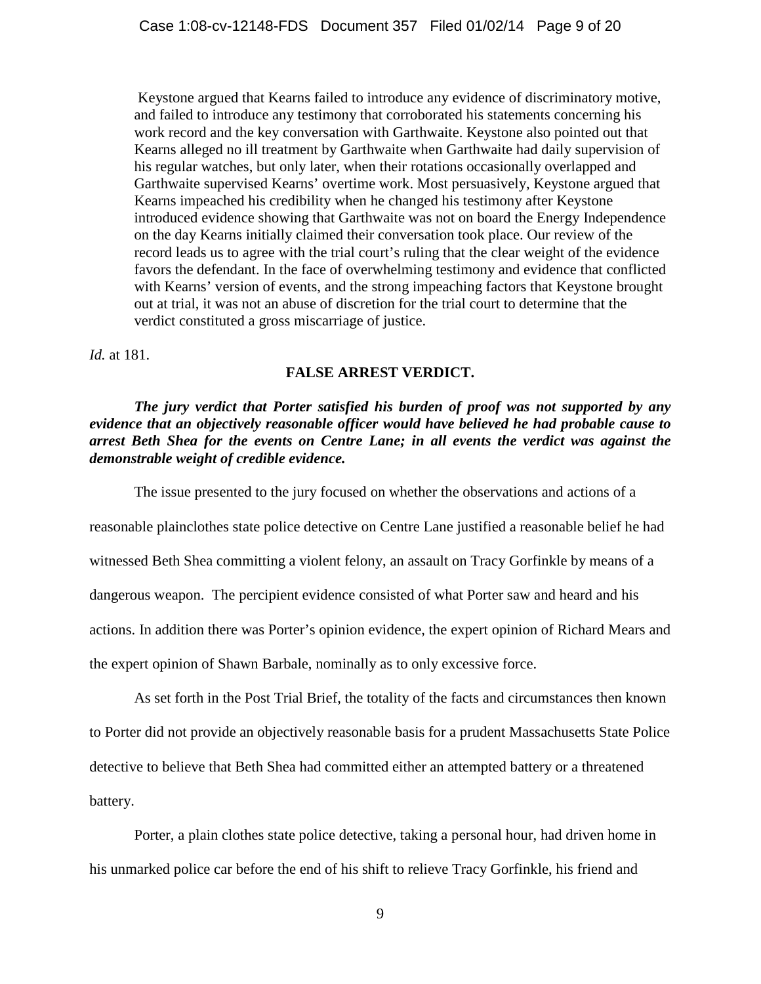Keystone argued that Kearns failed to introduce any evidence of discriminatory motive, and failed to introduce any testimony that corroborated his statements concerning his work record and the key conversation with Garthwaite. Keystone also pointed out that Kearns alleged no ill treatment by Garthwaite when Garthwaite had daily supervision of his regular watches, but only later, when their rotations occasionally overlapped and Garthwaite supervised Kearns' overtime work. Most persuasively, Keystone argued that Kearns impeached his credibility when he changed his testimony after Keystone introduced evidence showing that Garthwaite was not on board the Energy Independence on the day Kearns initially claimed their conversation took place. Our review of the record leads us to agree with the trial court's ruling that the clear weight of the evidence favors the defendant. In the face of overwhelming testimony and evidence that conflicted with Kearns' version of events, and the strong impeaching factors that Keystone brought out at trial, it was not an abuse of discretion for the trial court to determine that the verdict constituted a gross miscarriage of justice.

*Id.* at 181.

## **FALSE ARREST VERDICT.**

## *The jury verdict that Porter satisfied his burden of proof was not supported by any evidence that an objectively reasonable officer would have believed he had probable cause to arrest Beth Shea for the events on Centre Lane; in all events the verdict was against the demonstrable weight of credible evidence.*

The issue presented to the jury focused on whether the observations and actions of a

reasonable plainclothes state police detective on Centre Lane justified a reasonable belief he had witnessed Beth Shea committing a violent felony, an assault on Tracy Gorfinkle by means of a dangerous weapon. The percipient evidence consisted of what Porter saw and heard and his actions. In addition there was Porter's opinion evidence, the expert opinion of Richard Mears and the expert opinion of Shawn Barbale, nominally as to only excessive force.

As set forth in the Post Trial Brief, the totality of the facts and circumstances then known to Porter did not provide an objectively reasonable basis for a prudent Massachusetts State Police detective to believe that Beth Shea had committed either an attempted battery or a threatened battery.

Porter, a plain clothes state police detective, taking a personal hour, had driven home in his unmarked police car before the end of his shift to relieve Tracy Gorfinkle, his friend and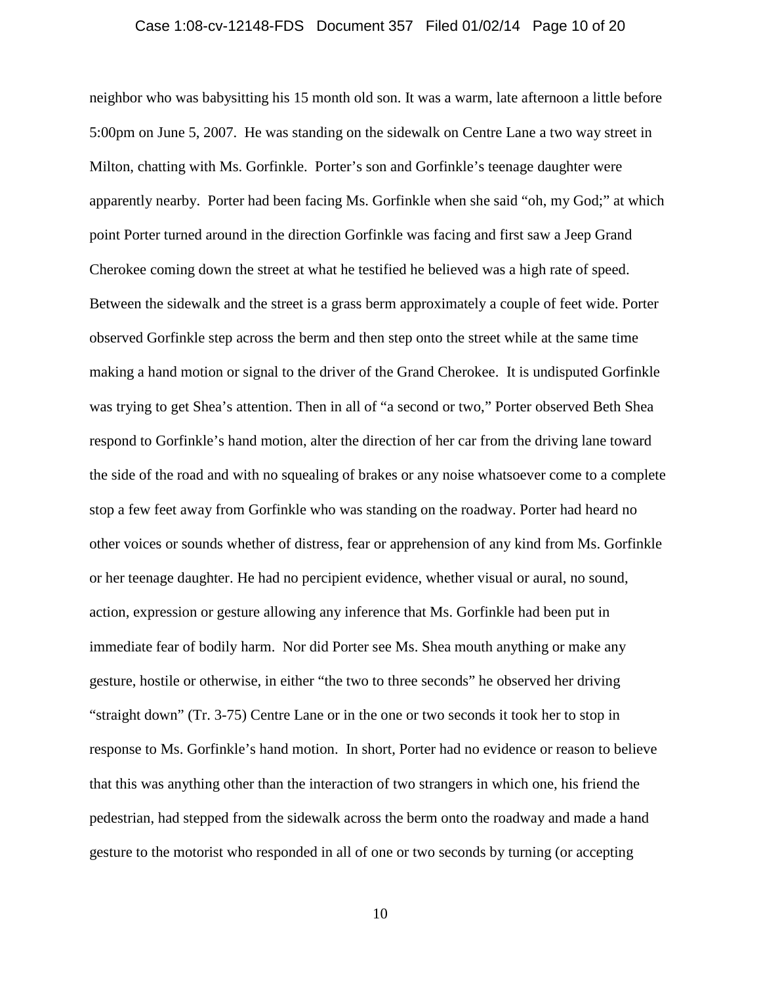## Case 1:08-cv-12148-FDS Document 357 Filed 01/02/14 Page 10 of 20

neighbor who was babysitting his 15 month old son. It was a warm, late afternoon a little before 5:00pm on June 5, 2007. He was standing on the sidewalk on Centre Lane a two way street in Milton, chatting with Ms. Gorfinkle. Porter's son and Gorfinkle's teenage daughter were apparently nearby. Porter had been facing Ms. Gorfinkle when she said "oh, my God;" at which point Porter turned around in the direction Gorfinkle was facing and first saw a Jeep Grand Cherokee coming down the street at what he testified he believed was a high rate of speed. Between the sidewalk and the street is a grass berm approximately a couple of feet wide. Porter observed Gorfinkle step across the berm and then step onto the street while at the same time making a hand motion or signal to the driver of the Grand Cherokee. It is undisputed Gorfinkle was trying to get Shea's attention. Then in all of "a second or two," Porter observed Beth Shea respond to Gorfinkle's hand motion, alter the direction of her car from the driving lane toward the side of the road and with no squealing of brakes or any noise whatsoever come to a complete stop a few feet away from Gorfinkle who was standing on the roadway. Porter had heard no other voices or sounds whether of distress, fear or apprehension of any kind from Ms. Gorfinkle or her teenage daughter. He had no percipient evidence, whether visual or aural, no sound, action, expression or gesture allowing any inference that Ms. Gorfinkle had been put in immediate fear of bodily harm. Nor did Porter see Ms. Shea mouth anything or make any gesture, hostile or otherwise, in either "the two to three seconds" he observed her driving "straight down" (Tr. 3-75) Centre Lane or in the one or two seconds it took her to stop in response to Ms. Gorfinkle's hand motion. In short, Porter had no evidence or reason to believe that this was anything other than the interaction of two strangers in which one, his friend the pedestrian, had stepped from the sidewalk across the berm onto the roadway and made a hand gesture to the motorist who responded in all of one or two seconds by turning (or accepting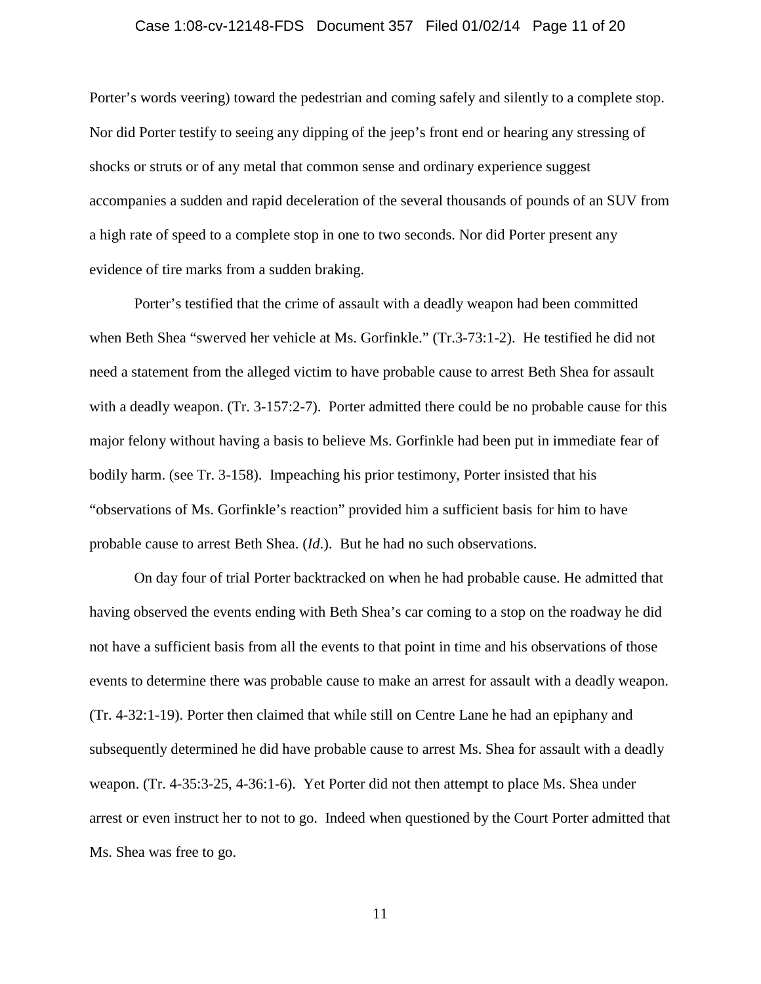## Case 1:08-cv-12148-FDS Document 357 Filed 01/02/14 Page 11 of 20

Porter's words veering) toward the pedestrian and coming safely and silently to a complete stop. Nor did Porter testify to seeing any dipping of the jeep's front end or hearing any stressing of shocks or struts or of any metal that common sense and ordinary experience suggest accompanies a sudden and rapid deceleration of the several thousands of pounds of an SUV from a high rate of speed to a complete stop in one to two seconds. Nor did Porter present any evidence of tire marks from a sudden braking.

Porter's testified that the crime of assault with a deadly weapon had been committed when Beth Shea "swerved her vehicle at Ms. Gorfinkle." (Tr.3-73:1-2). He testified he did not need a statement from the alleged victim to have probable cause to arrest Beth Shea for assault with a deadly weapon. (Tr. 3-157:2-7). Porter admitted there could be no probable cause for this major felony without having a basis to believe Ms. Gorfinkle had been put in immediate fear of bodily harm. (see Tr. 3-158). Impeaching his prior testimony, Porter insisted that his "observations of Ms. Gorfinkle's reaction" provided him a sufficient basis for him to have probable cause to arrest Beth Shea. (*Id*.). But he had no such observations.

On day four of trial Porter backtracked on when he had probable cause. He admitted that having observed the events ending with Beth Shea's car coming to a stop on the roadway he did not have a sufficient basis from all the events to that point in time and his observations of those events to determine there was probable cause to make an arrest for assault with a deadly weapon. (Tr. 4-32:1-19). Porter then claimed that while still on Centre Lane he had an epiphany and subsequently determined he did have probable cause to arrest Ms. Shea for assault with a deadly weapon. (Tr. 4-35:3-25, 4-36:1-6). Yet Porter did not then attempt to place Ms. Shea under arrest or even instruct her to not to go. Indeed when questioned by the Court Porter admitted that Ms. Shea was free to go.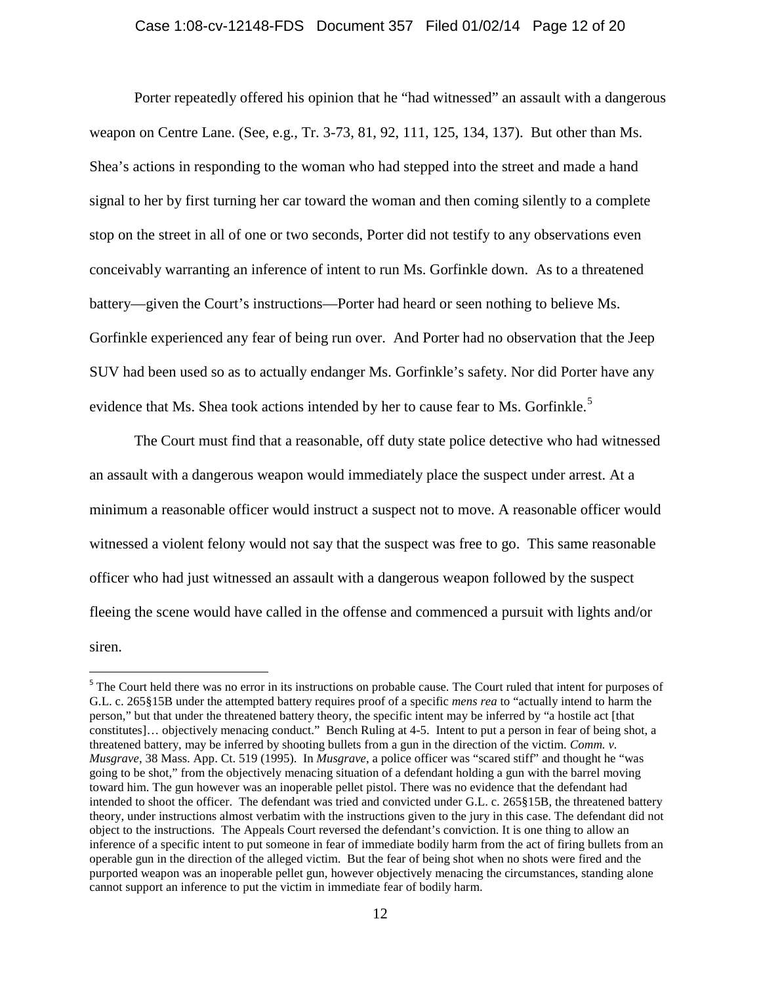Porter repeatedly offered his opinion that he "had witnessed" an assault with a dangerous weapon on Centre Lane. (See, e.g., Tr. 3-73, 81, 92, 111, 125, 134, 137). But other than Ms. Shea's actions in responding to the woman who had stepped into the street and made a hand signal to her by first turning her car toward the woman and then coming silently to a complete stop on the street in all of one or two seconds, Porter did not testify to any observations even conceivably warranting an inference of intent to run Ms. Gorfinkle down. As to a threatened battery—given the Court's instructions—Porter had heard or seen nothing to believe Ms. Gorfinkle experienced any fear of being run over. And Porter had no observation that the Jeep SUV had been used so as to actually endanger Ms. Gorfinkle's safety. Nor did Porter have any evidence that Ms. Shea took actions intended by her to cause fear to Ms. Gorfinkle.<sup>[5](#page-11-0)</sup>

The Court must find that a reasonable, off duty state police detective who had witnessed an assault with a dangerous weapon would immediately place the suspect under arrest. At a minimum a reasonable officer would instruct a suspect not to move. A reasonable officer would witnessed a violent felony would not say that the suspect was free to go. This same reasonable officer who had just witnessed an assault with a dangerous weapon followed by the suspect fleeing the scene would have called in the offense and commenced a pursuit with lights and/or siren.

<span id="page-11-0"></span><sup>&</sup>lt;sup>5</sup> The Court held there was no error in its instructions on probable cause. The Court ruled that intent for purposes of G.L. c. 265§15B under the attempted battery requires proof of a specific *mens rea* to "actually intend to harm the person," but that under the threatened battery theory, the specific intent may be inferred by "a hostile act [that constitutes]… objectively menacing conduct." Bench Ruling at 4-5. Intent to put a person in fear of being shot, a threatened battery, may be inferred by shooting bullets from a gun in the direction of the victim. *Comm. v. Musgrave*, 38 Mass. App. Ct. 519 (1995). In *Musgrave*, a police officer was "scared stiff" and thought he "was going to be shot," from the objectively menacing situation of a defendant holding a gun with the barrel moving toward him. The gun however was an inoperable pellet pistol. There was no evidence that the defendant had intended to shoot the officer. The defendant was tried and convicted under G.L. c. 265§15B, the threatened battery theory, under instructions almost verbatim with the instructions given to the jury in this case. The defendant did not object to the instructions. The Appeals Court reversed the defendant's conviction. It is one thing to allow an inference of a specific intent to put someone in fear of immediate bodily harm from the act of firing bullets from an operable gun in the direction of the alleged victim. But the fear of being shot when no shots were fired and the purported weapon was an inoperable pellet gun, however objectively menacing the circumstances, standing alone cannot support an inference to put the victim in immediate fear of bodily harm.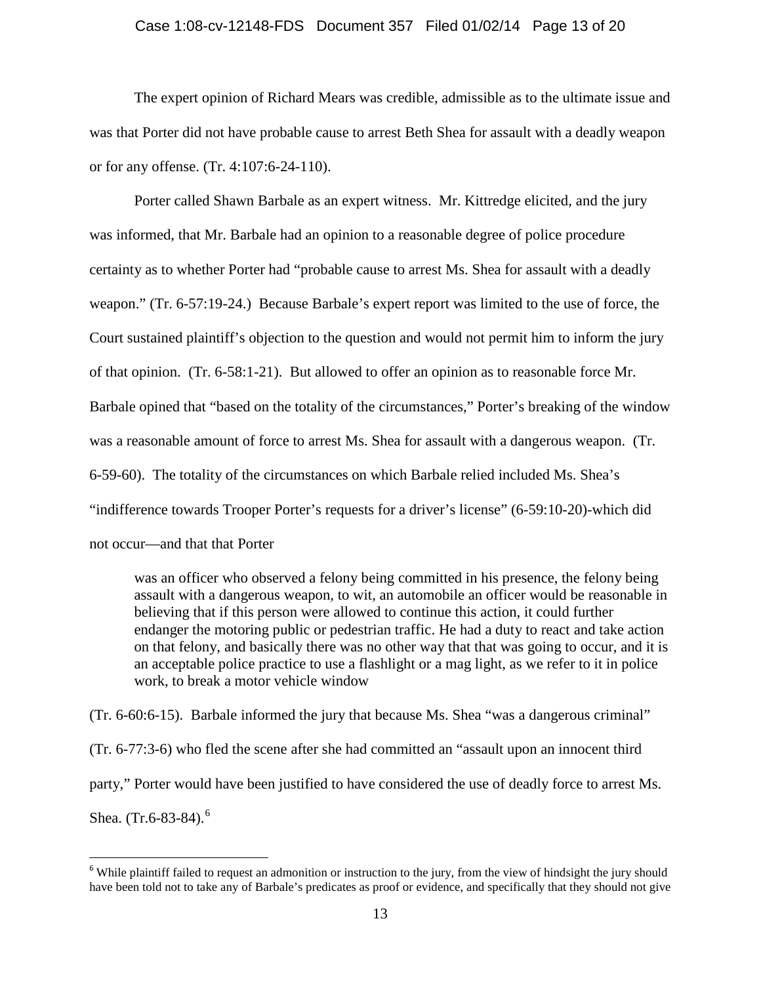#### Case 1:08-cv-12148-FDS Document 357 Filed 01/02/14 Page 13 of 20

The expert opinion of Richard Mears was credible, admissible as to the ultimate issue and was that Porter did not have probable cause to arrest Beth Shea for assault with a deadly weapon or for any offense. (Tr. 4:107:6-24-110).

Porter called Shawn Barbale as an expert witness. Mr. Kittredge elicited, and the jury was informed, that Mr. Barbale had an opinion to a reasonable degree of police procedure certainty as to whether Porter had "probable cause to arrest Ms. Shea for assault with a deadly weapon." (Tr. 6-57:19-24.) Because Barbale's expert report was limited to the use of force, the Court sustained plaintiff's objection to the question and would not permit him to inform the jury of that opinion. (Tr. 6-58:1-21). But allowed to offer an opinion as to reasonable force Mr. Barbale opined that "based on the totality of the circumstances," Porter's breaking of the window was a reasonable amount of force to arrest Ms. Shea for assault with a dangerous weapon. (Tr. 6-59-60). The totality of the circumstances on which Barbale relied included Ms. Shea's "indifference towards Trooper Porter's requests for a driver's license" (6-59:10-20)-which did not occur—and that that Porter

was an officer who observed a felony being committed in his presence, the felony being assault with a dangerous weapon, to wit, an automobile an officer would be reasonable in believing that if this person were allowed to continue this action, it could further endanger the motoring public or pedestrian traffic. He had a duty to react and take action on that felony, and basically there was no other way that that was going to occur, and it is an acceptable police practice to use a flashlight or a mag light, as we refer to it in police work, to break a motor vehicle window

(Tr. 6-60:6-15). Barbale informed the jury that because Ms. Shea "was a dangerous criminal" (Tr. 6-77:3-6) who fled the scene after she had committed an "assault upon an innocent third party," Porter would have been justified to have considered the use of deadly force to arrest Ms. Shea. (Tr.[6](#page-12-0)-83-84).<sup>6</sup>

<span id="page-12-0"></span><sup>&</sup>lt;sup>6</sup> While plaintiff failed to request an admonition or instruction to the jury, from the view of hindsight the jury should have been told not to take any of Barbale's predicates as proof or evidence, and specifically that they should not give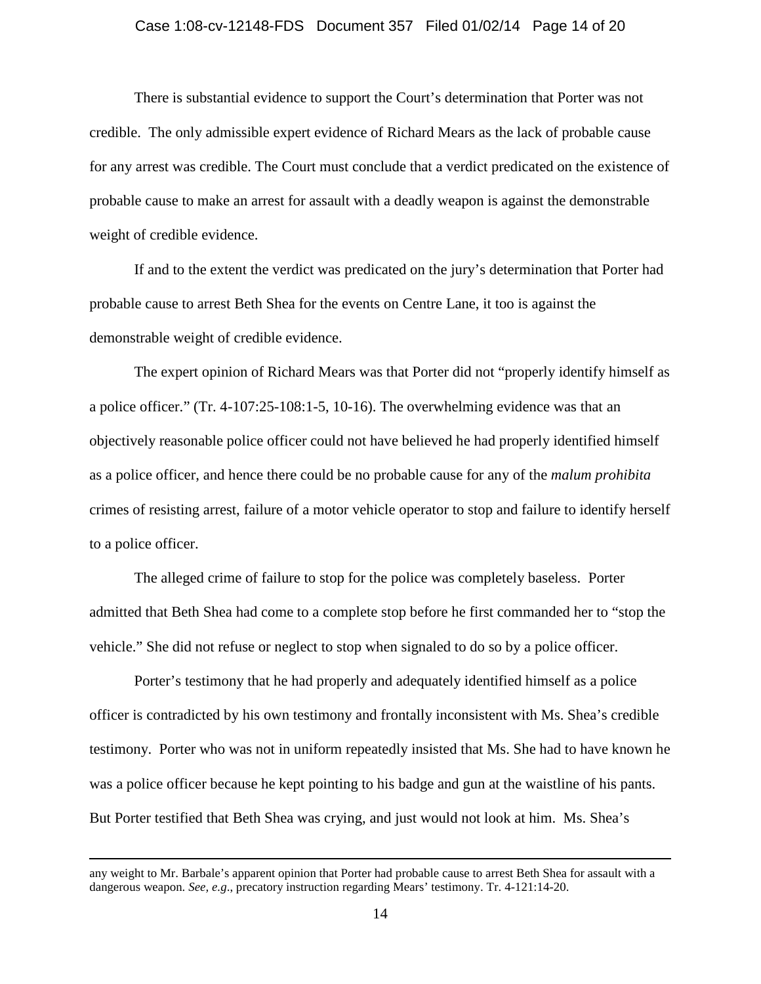## Case 1:08-cv-12148-FDS Document 357 Filed 01/02/14 Page 14 of 20

There is substantial evidence to support the Court's determination that Porter was not credible. The only admissible expert evidence of Richard Mears as the lack of probable cause for any arrest was credible. The Court must conclude that a verdict predicated on the existence of probable cause to make an arrest for assault with a deadly weapon is against the demonstrable weight of credible evidence.

If and to the extent the verdict was predicated on the jury's determination that Porter had probable cause to arrest Beth Shea for the events on Centre Lane, it too is against the demonstrable weight of credible evidence.

The expert opinion of Richard Mears was that Porter did not "properly identify himself as a police officer." (Tr. 4-107:25-108:1-5, 10-16). The overwhelming evidence was that an objectively reasonable police officer could not have believed he had properly identified himself as a police officer, and hence there could be no probable cause for any of the *malum prohibita*  crimes of resisting arrest, failure of a motor vehicle operator to stop and failure to identify herself to a police officer.

The alleged crime of failure to stop for the police was completely baseless. Porter admitted that Beth Shea had come to a complete stop before he first commanded her to "stop the vehicle." She did not refuse or neglect to stop when signaled to do so by a police officer.

Porter's testimony that he had properly and adequately identified himself as a police officer is contradicted by his own testimony and frontally inconsistent with Ms. Shea's credible testimony. Porter who was not in uniform repeatedly insisted that Ms. She had to have known he was a police officer because he kept pointing to his badge and gun at the waistline of his pants. But Porter testified that Beth Shea was crying, and just would not look at him. Ms. Shea's

 $\overline{a}$ 

any weight to Mr. Barbale's apparent opinion that Porter had probable cause to arrest Beth Shea for assault with a dangerous weapon. *See, e.g*., precatory instruction regarding Mears' testimony. Tr. 4-121:14-20.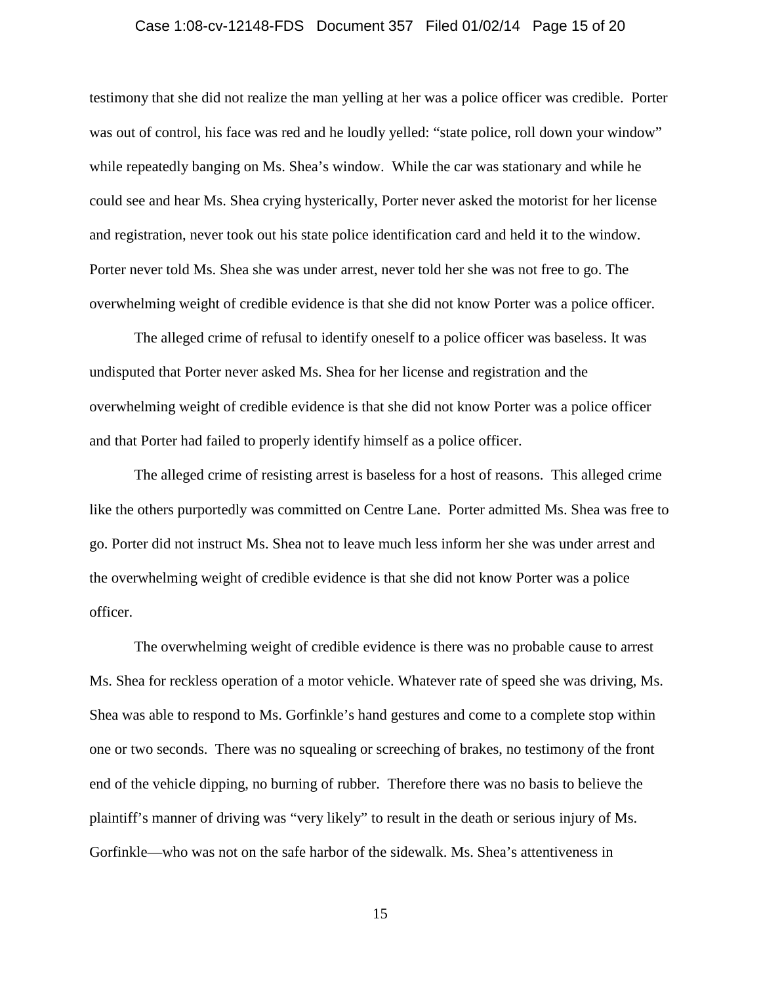## Case 1:08-cv-12148-FDS Document 357 Filed 01/02/14 Page 15 of 20

testimony that she did not realize the man yelling at her was a police officer was credible. Porter was out of control, his face was red and he loudly yelled: "state police, roll down your window" while repeatedly banging on Ms. Shea's window. While the car was stationary and while he could see and hear Ms. Shea crying hysterically, Porter never asked the motorist for her license and registration, never took out his state police identification card and held it to the window. Porter never told Ms. Shea she was under arrest, never told her she was not free to go. The overwhelming weight of credible evidence is that she did not know Porter was a police officer.

The alleged crime of refusal to identify oneself to a police officer was baseless. It was undisputed that Porter never asked Ms. Shea for her license and registration and the overwhelming weight of credible evidence is that she did not know Porter was a police officer and that Porter had failed to properly identify himself as a police officer.

The alleged crime of resisting arrest is baseless for a host of reasons. This alleged crime like the others purportedly was committed on Centre Lane. Porter admitted Ms. Shea was free to go. Porter did not instruct Ms. Shea not to leave much less inform her she was under arrest and the overwhelming weight of credible evidence is that she did not know Porter was a police officer.

The overwhelming weight of credible evidence is there was no probable cause to arrest Ms. Shea for reckless operation of a motor vehicle. Whatever rate of speed she was driving, Ms. Shea was able to respond to Ms. Gorfinkle's hand gestures and come to a complete stop within one or two seconds. There was no squealing or screeching of brakes, no testimony of the front end of the vehicle dipping, no burning of rubber. Therefore there was no basis to believe the plaintiff's manner of driving was "very likely" to result in the death or serious injury of Ms. Gorfinkle—who was not on the safe harbor of the sidewalk. Ms. Shea's attentiveness in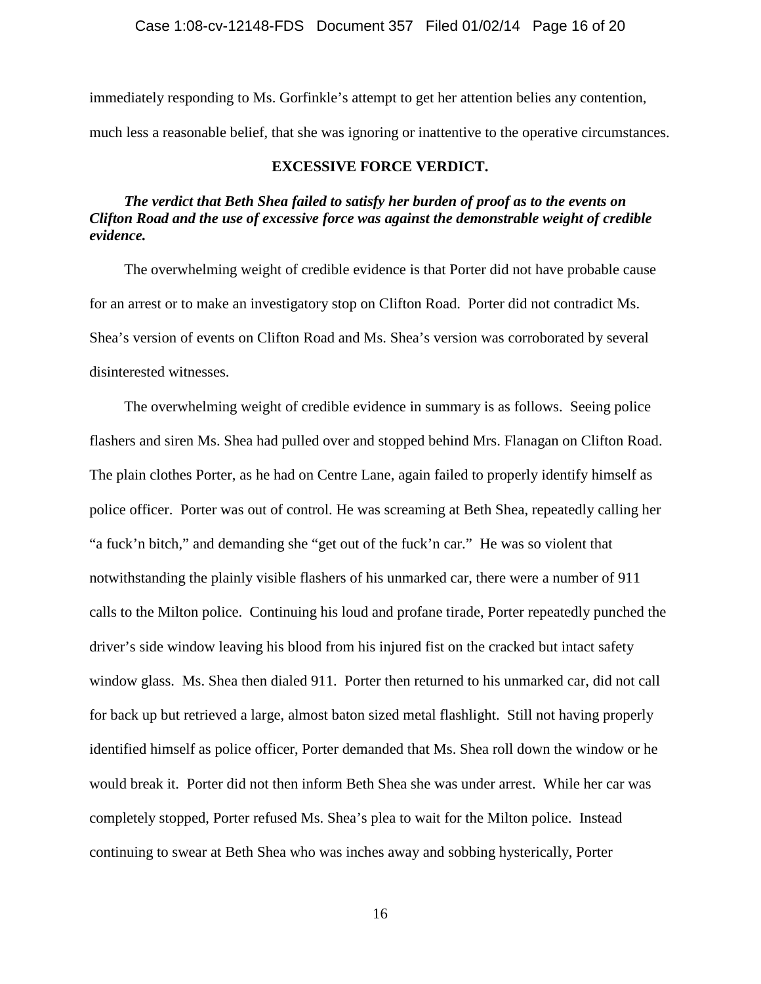immediately responding to Ms. Gorfinkle's attempt to get her attention belies any contention, much less a reasonable belief, that she was ignoring or inattentive to the operative circumstances.

## **EXCESSIVE FORCE VERDICT.**

## *The verdict that Beth Shea failed to satisfy her burden of proof as to the events on Clifton Road and the use of excessive force was against the demonstrable weight of credible evidence.*

The overwhelming weight of credible evidence is that Porter did not have probable cause for an arrest or to make an investigatory stop on Clifton Road. Porter did not contradict Ms. Shea's version of events on Clifton Road and Ms. Shea's version was corroborated by several disinterested witnesses.

The overwhelming weight of credible evidence in summary is as follows. Seeing police flashers and siren Ms. Shea had pulled over and stopped behind Mrs. Flanagan on Clifton Road. The plain clothes Porter, as he had on Centre Lane, again failed to properly identify himself as police officer. Porter was out of control. He was screaming at Beth Shea, repeatedly calling her "a fuck'n bitch," and demanding she "get out of the fuck'n car." He was so violent that notwithstanding the plainly visible flashers of his unmarked car, there were a number of 911 calls to the Milton police. Continuing his loud and profane tirade, Porter repeatedly punched the driver's side window leaving his blood from his injured fist on the cracked but intact safety window glass. Ms. Shea then dialed 911. Porter then returned to his unmarked car, did not call for back up but retrieved a large, almost baton sized metal flashlight. Still not having properly identified himself as police officer, Porter demanded that Ms. Shea roll down the window or he would break it. Porter did not then inform Beth Shea she was under arrest. While her car was completely stopped, Porter refused Ms. Shea's plea to wait for the Milton police. Instead continuing to swear at Beth Shea who was inches away and sobbing hysterically, Porter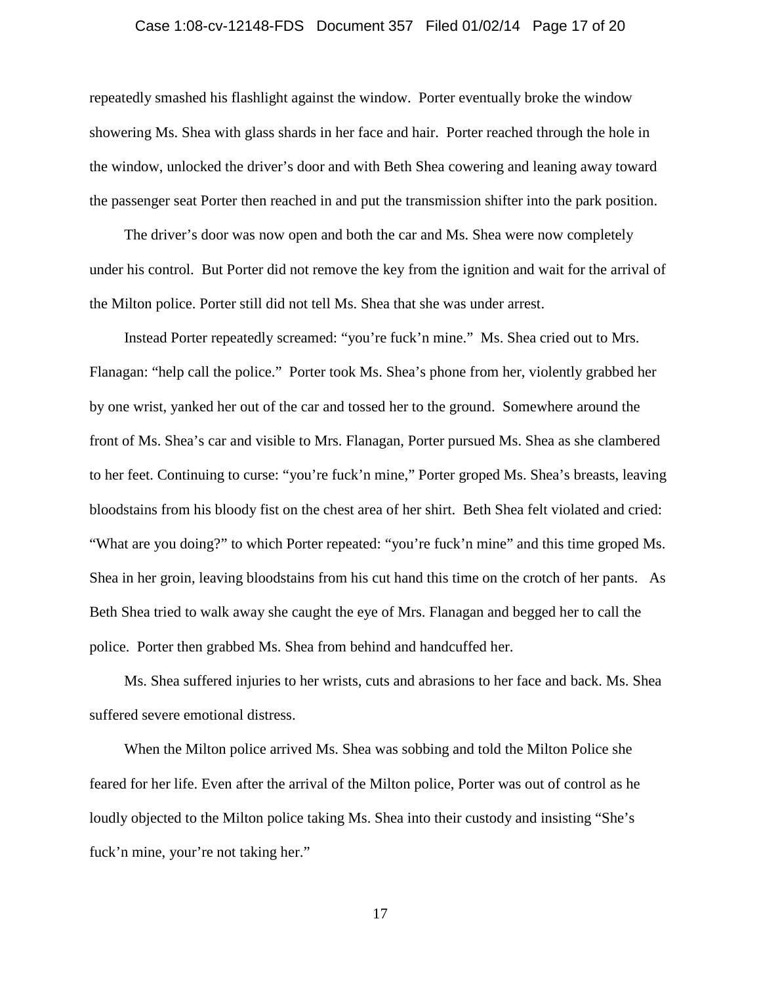## Case 1:08-cv-12148-FDS Document 357 Filed 01/02/14 Page 17 of 20

repeatedly smashed his flashlight against the window. Porter eventually broke the window showering Ms. Shea with glass shards in her face and hair. Porter reached through the hole in the window, unlocked the driver's door and with Beth Shea cowering and leaning away toward the passenger seat Porter then reached in and put the transmission shifter into the park position.

The driver's door was now open and both the car and Ms. Shea were now completely under his control. But Porter did not remove the key from the ignition and wait for the arrival of the Milton police. Porter still did not tell Ms. Shea that she was under arrest.

Instead Porter repeatedly screamed: "you're fuck'n mine." Ms. Shea cried out to Mrs. Flanagan: "help call the police." Porter took Ms. Shea's phone from her, violently grabbed her by one wrist, yanked her out of the car and tossed her to the ground. Somewhere around the front of Ms. Shea's car and visible to Mrs. Flanagan, Porter pursued Ms. Shea as she clambered to her feet. Continuing to curse: "you're fuck'n mine," Porter groped Ms. Shea's breasts, leaving bloodstains from his bloody fist on the chest area of her shirt. Beth Shea felt violated and cried: "What are you doing?" to which Porter repeated: "you're fuck'n mine" and this time groped Ms. Shea in her groin, leaving bloodstains from his cut hand this time on the crotch of her pants. As Beth Shea tried to walk away she caught the eye of Mrs. Flanagan and begged her to call the police. Porter then grabbed Ms. Shea from behind and handcuffed her.

Ms. Shea suffered injuries to her wrists, cuts and abrasions to her face and back. Ms. Shea suffered severe emotional distress.

When the Milton police arrived Ms. Shea was sobbing and told the Milton Police she feared for her life. Even after the arrival of the Milton police, Porter was out of control as he loudly objected to the Milton police taking Ms. Shea into their custody and insisting "She's fuck'n mine, your're not taking her."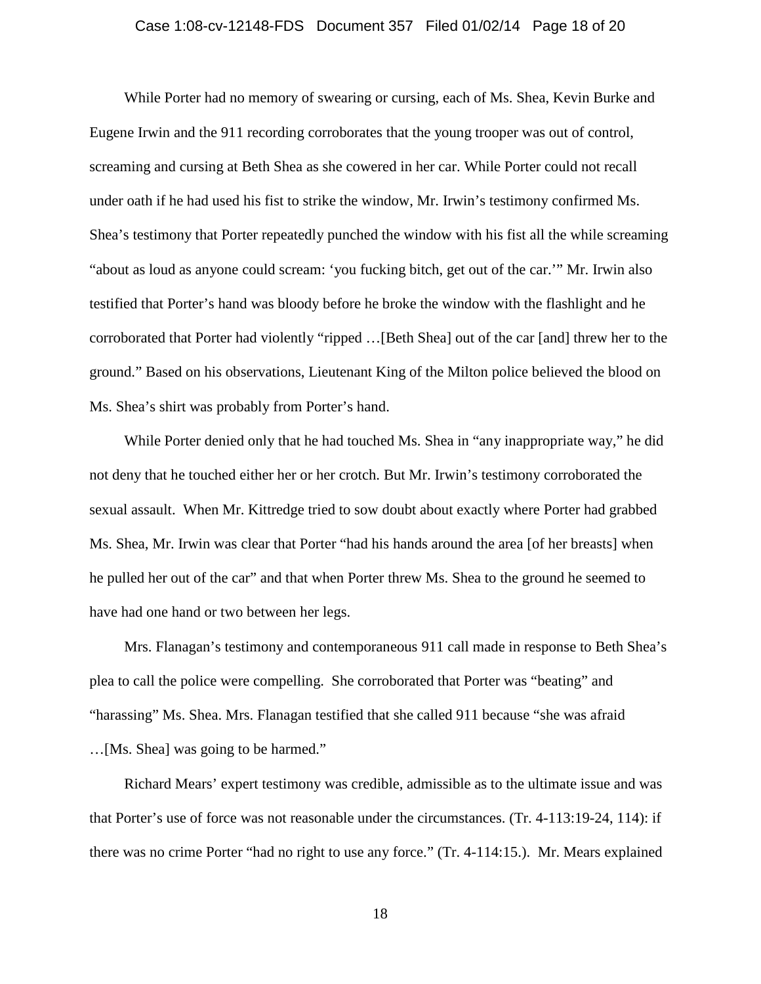## Case 1:08-cv-12148-FDS Document 357 Filed 01/02/14 Page 18 of 20

While Porter had no memory of swearing or cursing, each of Ms. Shea, Kevin Burke and Eugene Irwin and the 911 recording corroborates that the young trooper was out of control, screaming and cursing at Beth Shea as she cowered in her car. While Porter could not recall under oath if he had used his fist to strike the window, Mr. Irwin's testimony confirmed Ms. Shea's testimony that Porter repeatedly punched the window with his fist all the while screaming "about as loud as anyone could scream: 'you fucking bitch, get out of the car.'" Mr. Irwin also testified that Porter's hand was bloody before he broke the window with the flashlight and he corroborated that Porter had violently "ripped …[Beth Shea] out of the car [and] threw her to the ground." Based on his observations, Lieutenant King of the Milton police believed the blood on Ms. Shea's shirt was probably from Porter's hand.

While Porter denied only that he had touched Ms. Shea in "any inappropriate way," he did not deny that he touched either her or her crotch. But Mr. Irwin's testimony corroborated the sexual assault. When Mr. Kittredge tried to sow doubt about exactly where Porter had grabbed Ms. Shea, Mr. Irwin was clear that Porter "had his hands around the area [of her breasts] when he pulled her out of the car" and that when Porter threw Ms. Shea to the ground he seemed to have had one hand or two between her legs.

Mrs. Flanagan's testimony and contemporaneous 911 call made in response to Beth Shea's plea to call the police were compelling. She corroborated that Porter was "beating" and "harassing" Ms. Shea. Mrs. Flanagan testified that she called 911 because "she was afraid …[Ms. Shea] was going to be harmed."

Richard Mears' expert testimony was credible, admissible as to the ultimate issue and was that Porter's use of force was not reasonable under the circumstances. (Tr. 4-113:19-24, 114): if there was no crime Porter "had no right to use any force." (Tr. 4-114:15.). Mr. Mears explained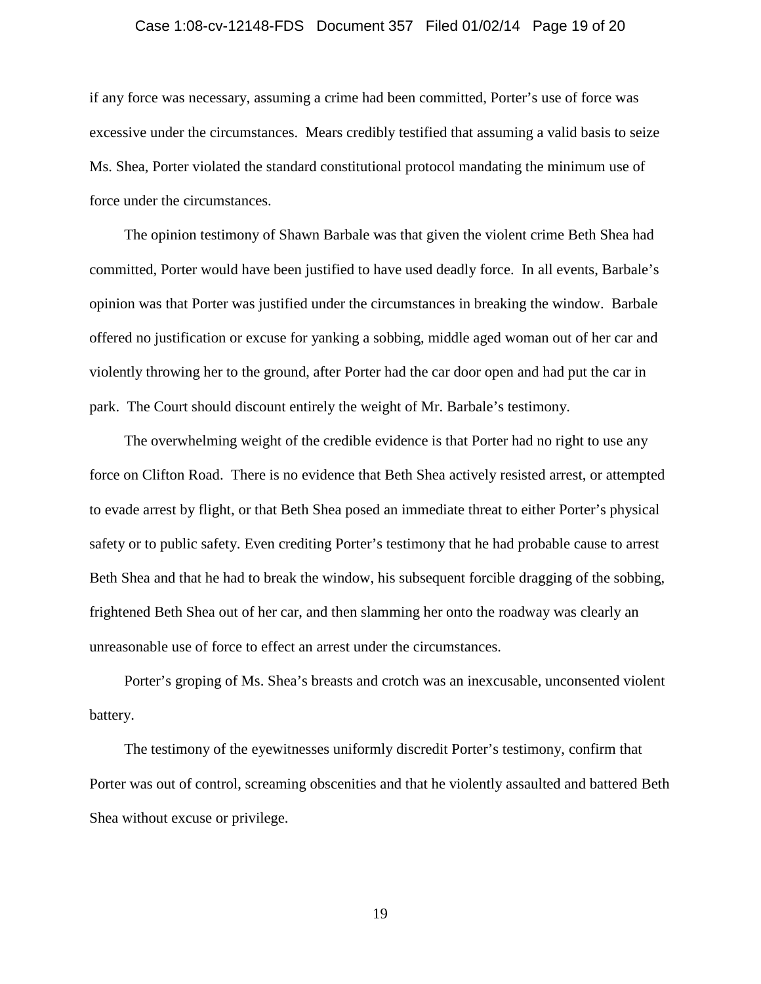## Case 1:08-cv-12148-FDS Document 357 Filed 01/02/14 Page 19 of 20

if any force was necessary, assuming a crime had been committed, Porter's use of force was excessive under the circumstances. Mears credibly testified that assuming a valid basis to seize Ms. Shea, Porter violated the standard constitutional protocol mandating the minimum use of force under the circumstances.

The opinion testimony of Shawn Barbale was that given the violent crime Beth Shea had committed, Porter would have been justified to have used deadly force. In all events, Barbale's opinion was that Porter was justified under the circumstances in breaking the window. Barbale offered no justification or excuse for yanking a sobbing, middle aged woman out of her car and violently throwing her to the ground, after Porter had the car door open and had put the car in park. The Court should discount entirely the weight of Mr. Barbale's testimony.

The overwhelming weight of the credible evidence is that Porter had no right to use any force on Clifton Road. There is no evidence that Beth Shea actively resisted arrest, or attempted to evade arrest by flight, or that Beth Shea posed an immediate threat to either Porter's physical safety or to public safety. Even crediting Porter's testimony that he had probable cause to arrest Beth Shea and that he had to break the window, his subsequent forcible dragging of the sobbing, frightened Beth Shea out of her car, and then slamming her onto the roadway was clearly an unreasonable use of force to effect an arrest under the circumstances.

Porter's groping of Ms. Shea's breasts and crotch was an inexcusable, unconsented violent battery.

The testimony of the eyewitnesses uniformly discredit Porter's testimony, confirm that Porter was out of control, screaming obscenities and that he violently assaulted and battered Beth Shea without excuse or privilege.